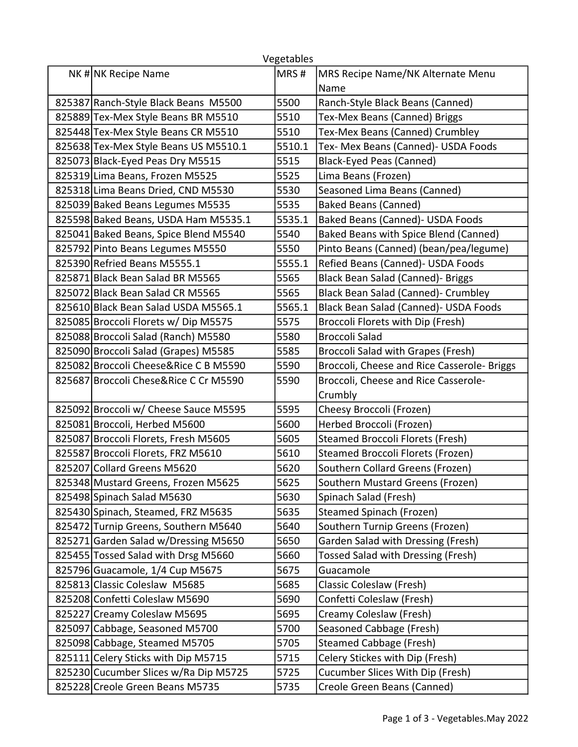| Vegetables |                                       |        |                                             |  |  |
|------------|---------------------------------------|--------|---------------------------------------------|--|--|
|            | NK# NK Recipe Name                    | MRS#   | MRS Recipe Name/NK Alternate Menu           |  |  |
|            |                                       |        | Name                                        |  |  |
|            | 825387 Ranch-Style Black Beans M5500  | 5500   | Ranch-Style Black Beans (Canned)            |  |  |
|            | 825889 Tex-Mex Style Beans BR M5510   | 5510   | Tex-Mex Beans (Canned) Briggs               |  |  |
|            | 825448 Tex-Mex Style Beans CR M5510   | 5510   | Tex-Mex Beans (Canned) Crumbley             |  |  |
|            | 825638 Tex-Mex Style Beans US M5510.1 | 5510.1 | Tex- Mex Beans (Canned)- USDA Foods         |  |  |
|            | 825073 Black-Eyed Peas Dry M5515      | 5515   | <b>Black-Eyed Peas (Canned)</b>             |  |  |
|            | 825319 Lima Beans, Frozen M5525       | 5525   | Lima Beans (Frozen)                         |  |  |
|            | 825318 Lima Beans Dried, CND M5530    | 5530   | Seasoned Lima Beans (Canned)                |  |  |
|            | 825039 Baked Beans Legumes M5535      | 5535   | <b>Baked Beans (Canned)</b>                 |  |  |
|            | 825598 Baked Beans, USDA Ham M5535.1  | 5535.1 | Baked Beans (Canned)- USDA Foods            |  |  |
|            | 825041 Baked Beans, Spice Blend M5540 | 5540   | Baked Beans with Spice Blend (Canned)       |  |  |
|            | 825792 Pinto Beans Legumes M5550      | 5550   | Pinto Beans (Canned) (bean/pea/legume)      |  |  |
|            | 825390 Refried Beans M5555.1          | 5555.1 | Refied Beans (Canned) - USDA Foods          |  |  |
|            | 825871 Black Bean Salad BR M5565      | 5565   | Black Bean Salad (Canned)- Briggs           |  |  |
|            | 825072 Black Bean Salad CR M5565      | 5565   | Black Bean Salad (Canned)- Crumbley         |  |  |
|            | 825610 Black Bean Salad USDA M5565.1  | 5565.1 | Black Bean Salad (Canned)- USDA Foods       |  |  |
|            | 825085 Broccoli Florets w/ Dip M5575  | 5575   | Broccoli Florets with Dip (Fresh)           |  |  |
|            | 825088 Broccoli Salad (Ranch) M5580   | 5580   | <b>Broccoli Salad</b>                       |  |  |
|            | 825090 Broccoli Salad (Grapes) M5585  | 5585   | Broccoli Salad with Grapes (Fresh)          |  |  |
|            | 825082 Broccoli Cheese&Rice C B M5590 | 5590   | Broccoli, Cheese and Rice Casserole- Briggs |  |  |
|            | 825687 Broccoli Chese&Rice C Cr M5590 | 5590   | Broccoli, Cheese and Rice Casserole-        |  |  |
|            |                                       |        | Crumbly                                     |  |  |
|            | 825092 Broccoli w/ Cheese Sauce M5595 | 5595   | Cheesy Broccoli (Frozen)                    |  |  |
|            | 825081 Broccoli, Herbed M5600         | 5600   | Herbed Broccoli (Frozen)                    |  |  |
|            | 825087 Broccoli Florets, Fresh M5605  | 5605   | <b>Steamed Broccoli Florets (Fresh)</b>     |  |  |
|            | 825587 Broccoli Florets, FRZ M5610    | 5610   | <b>Steamed Broccoli Florets (Frozen)</b>    |  |  |
|            | 825207 Collard Greens M5620           | 5620   | Southern Collard Greens (Frozen)            |  |  |
|            | 825348 Mustard Greens, Frozen M5625   | 5625   | Southern Mustard Greens (Frozen)            |  |  |
|            | 825498 Spinach Salad M5630            | 5630   | Spinach Salad (Fresh)                       |  |  |
|            | 825430 Spinach, Steamed, FRZ M5635    | 5635   | Steamed Spinach (Frozen)                    |  |  |
|            | 825472 Turnip Greens, Southern M5640  | 5640   | Southern Turnip Greens (Frozen)             |  |  |
|            | 825271 Garden Salad w/Dressing M5650  | 5650   | Garden Salad with Dressing (Fresh)          |  |  |
|            | 825455 Tossed Salad with Drsg M5660   | 5660   | <b>Tossed Salad with Dressing (Fresh)</b>   |  |  |
|            | 825796 Guacamole, 1/4 Cup M5675       | 5675   | Guacamole                                   |  |  |
|            | 825813 Classic Coleslaw M5685         | 5685   | Classic Coleslaw (Fresh)                    |  |  |
|            | 825208 Confetti Coleslaw M5690        | 5690   | Confetti Coleslaw (Fresh)                   |  |  |
|            | 825227 Creamy Coleslaw M5695          | 5695   | Creamy Coleslaw (Fresh)                     |  |  |
|            | 825097 Cabbage, Seasoned M5700        | 5700   | Seasoned Cabbage (Fresh)                    |  |  |
|            | 825098 Cabbage, Steamed M5705         | 5705   | <b>Steamed Cabbage (Fresh)</b>              |  |  |
|            | 825111 Celery Sticks with Dip M5715   | 5715   | Celery Stickes with Dip (Fresh)             |  |  |
|            | 825230 Cucumber Slices w/Ra Dip M5725 | 5725   | Cucumber Slices With Dip (Fresh)            |  |  |
|            | 825228 Creole Green Beans M5735       | 5735   | Creole Green Beans (Canned)                 |  |  |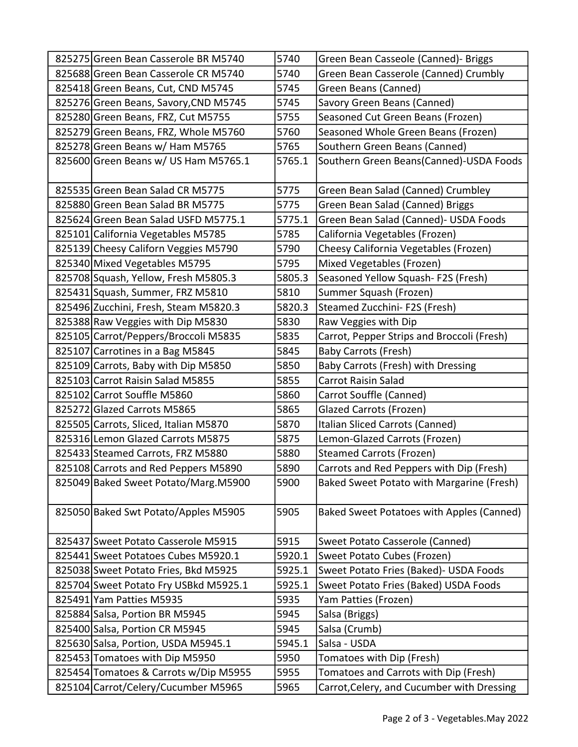| 825275 Green Bean Casserole BR M5740  | 5740   | Green Bean Casseole (Canned)- Briggs       |
|---------------------------------------|--------|--------------------------------------------|
| 825688 Green Bean Casserole CR M5740  | 5740   | Green Bean Casserole (Canned) Crumbly      |
| 825418 Green Beans, Cut, CND M5745    | 5745   | Green Beans (Canned)                       |
| 825276 Green Beans, Savory, CND M5745 | 5745   | Savory Green Beans (Canned)                |
| 825280 Green Beans, FRZ, Cut M5755    | 5755   | Seasoned Cut Green Beans (Frozen)          |
| 825279 Green Beans, FRZ, Whole M5760  | 5760   | Seasoned Whole Green Beans (Frozen)        |
| 825278 Green Beans w/ Ham M5765       | 5765   | Southern Green Beans (Canned)              |
| 825600 Green Beans w/ US Ham M5765.1  | 5765.1 | Southern Green Beans(Canned)-USDA Foods    |
| 825535 Green Bean Salad CR M5775      | 5775   | Green Bean Salad (Canned) Crumbley         |
| 825880 Green Bean Salad BR M5775      | 5775   | Green Bean Salad (Canned) Briggs           |
| 825624 Green Bean Salad USFD M5775.1  | 5775.1 | Green Bean Salad (Canned) - USDA Foods     |
| 825101 California Vegetables M5785    | 5785   | California Vegetables (Frozen)             |
| 825139 Cheesy Californ Veggies M5790  | 5790   | Cheesy California Vegetables (Frozen)      |
| 825340 Mixed Vegetables M5795         | 5795   | Mixed Vegetables (Frozen)                  |
| 825708 Squash, Yellow, Fresh M5805.3  | 5805.3 | Seasoned Yellow Squash- F2S (Fresh)        |
| 825431 Squash, Summer, FRZ M5810      | 5810   | Summer Squash (Frozen)                     |
| 825496 Zucchini, Fresh, Steam M5820.3 | 5820.3 | Steamed Zucchini- F2S (Fresh)              |
| 825388 Raw Veggies with Dip M5830     | 5830   | Raw Veggies with Dip                       |
| 825105 Carrot/Peppers/Broccoli M5835  | 5835   | Carrot, Pepper Strips and Broccoli (Fresh) |
| 825107 Carrotines in a Bag M5845      | 5845   | <b>Baby Carrots (Fresh)</b>                |
| 825109 Carrots, Baby with Dip M5850   | 5850   | Baby Carrots (Fresh) with Dressing         |
| 825103 Carrot Raisin Salad M5855      | 5855   | <b>Carrot Raisin Salad</b>                 |
| 825102 Carrot Souffle M5860           | 5860   | Carrot Souffle (Canned)                    |
| 825272 Glazed Carrots M5865           | 5865   | <b>Glazed Carrots (Frozen)</b>             |
| 825505 Carrots, Sliced, Italian M5870 | 5870   | Italian Sliced Carrots (Canned)            |
| 825316 Lemon Glazed Carrots M5875     | 5875   | Lemon-Glazed Carrots (Frozen)              |
| 825433 Steamed Carrots, FRZ M5880     | 5880   | <b>Steamed Carrots (Frozen)</b>            |
| 825108 Carrots and Red Peppers M5890  | 5890   | Carrots and Red Peppers with Dip (Fresh)   |
| 825049 Baked Sweet Potato/Marg.M5900  | 5900   | Baked Sweet Potato with Margarine (Fresh)  |
| 825050 Baked Swt Potato/Apples M5905  | 5905   | Baked Sweet Potatoes with Apples (Canned)  |
| 825437 Sweet Potato Casserole M5915   | 5915   | Sweet Potato Casserole (Canned)            |
| 825441 Sweet Potatoes Cubes M5920.1   | 5920.1 | Sweet Potato Cubes (Frozen)                |
| 825038 Sweet Potato Fries, Bkd M5925  | 5925.1 | Sweet Potato Fries (Baked) - USDA Foods    |
| 825704 Sweet Potato Fry USBkd M5925.1 | 5925.1 | Sweet Potato Fries (Baked) USDA Foods      |
| 825491 Yam Patties M5935              | 5935   | Yam Patties (Frozen)                       |
| 825884 Salsa, Portion BR M5945        | 5945   | Salsa (Briggs)                             |
| 825400 Salsa, Portion CR M5945        | 5945   | Salsa (Crumb)                              |
| 825630 Salsa, Portion, USDA M5945.1   | 5945.1 | Salsa - USDA                               |
| 825453 Tomatoes with Dip M5950        | 5950   | Tomatoes with Dip (Fresh)                  |
| 825454 Tomatoes & Carrots w/Dip M5955 | 5955   | Tomatoes and Carrots with Dip (Fresh)      |
| 825104 Carrot/Celery/Cucumber M5965   | 5965   | Carrot, Celery, and Cucumber with Dressing |